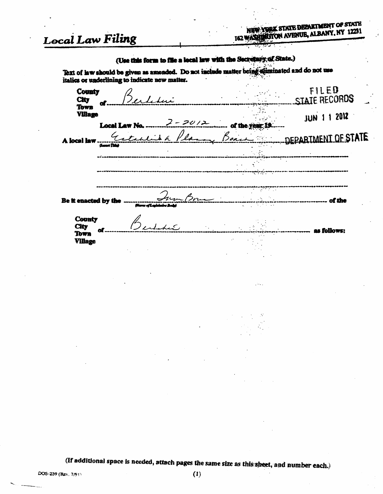# Local Law Filing

## (Use this form to file a local law with the Secretary of State.)

Text of law should be given as amended. Do not include matter being stiminated and do not use italies or underlining to indicate new matter.

| <b>County</b><br><b>City</b><br>O. |                             | <b>Contract</b><br>$\bullet$ .<br>:<br>$\bullet$ | FILED<br>STATE RECORDS |  |
|------------------------------------|-----------------------------|--------------------------------------------------|------------------------|--|
| Town<br><b>Village</b>             | $2 - 20/2$<br>Local Law No. | of the yea                                       | 12012<br>JUN 1         |  |
| A local law                        |                             | Boa                                              | DEPARTMENT OF STATE    |  |
|                                    | <b><i>Gener Take</i></b>    |                                                  |                        |  |
|                                    |                             |                                                  |                        |  |
| Be it enacted by the               |                             | $\mathbb{R}^{n}$ . The set of $\mathbb{R}^{n}$   | of the                 |  |
| <b>County</b><br><b>City</b>       |                             |                                                  | as follows:            |  |
| Town<br><b>Village</b>             |                             | $\sim$ $^{\circ}$                                |                        |  |

 $\sim 100$  km s  $^{-1}$ 

(If additional space is needed, attach pages the same size as this sheet, and number each.)

 $\ddot{\phantom{a}}$ 

DOS-239 (Rev. 7/91)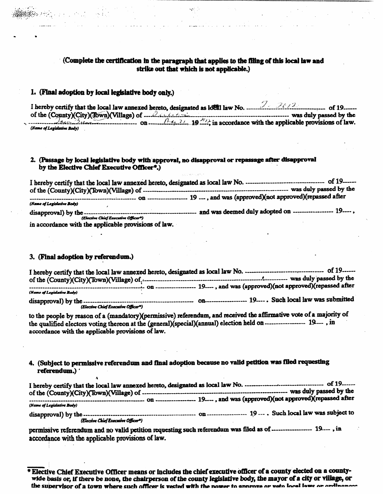### (Complete the certification in the paragraph that applies to the filing of this local law and strike out that which is not applicable.)

### 1. (Final adoption by local legislative body only.)

I hereby certify that the local law annexed hereto, designated as local law No.  $\frac{1}{2}$ of the (County)(City)(Town)(Village) of  $\sqrt{4}$ .  $\frac{2}{4}$ .  $\frac{19}{4}$ . in accordance with the applicable provisions of law. (Name of Legislative Body)

### 2. (Passage by local legislative body with approval, no disapproval or repassage after disapproval by the Elective Chief Executive Officer\*.)

 $\frac{19}{100}$  and was (approved)(not approved)(repassed after (Name of Legislative Body) (Elective Chief Executive Officer<sup>a</sup>) in accordance with the applicable provisions of law.

### 3. (Final adoption by referendum.)

I hereby certify that the local law annexed hereto, designated as local law No. --------------------------------- of 19------contract on the contract of the contract of the contract of the contract of the contract of the contract of the contract of the contract of the contract of the contract of the contract of the contract of the contract of th (Name of Legislative Body) 

to the people by reason of a (mandatory)(permissive) referendum, and received the affirmative vote of a majority of the qualified electors voting thereon at the (general)(special)(annual) election held on ----------------- 19---, in accordance with the applicable provisions of law.

4. (Subject to permissive referendum and final adoption because no valid petition was filed requesting referendum.) '

(Name of Legislative Body) 

(Elective Chief Executive Officer\*)

permissive referendum and no valid petition requesting such referendum was filed as of ----------------- 19 ---, in accordance with the applicable provisions of law.

\* Elective Chief Executive Officer means or includes the chief executive officer of a county elected on a countywide basis or, if there be none, the chairperson of the county legislative body, the mayor of a city or village, or the supervisor of a town where such officer is vested with the nower to annrove or veto local lowe or ordinance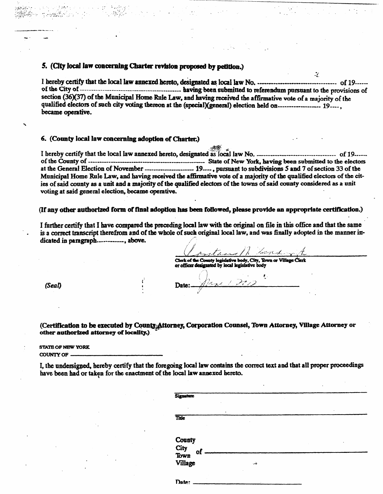### 5. (City local law concerning Charter revision proposed by petition.)

I hereby certify that the local law annexed hereto, designated as local law No. **............................** of 19of the City of **construes an interest corresponding to the provisions** of  $\mathbf{A}$ section (36)(37) of the Municipal Home Rule Law, and having received the affirmative vote of a majority of the **qualified electors of jmch dty voting thereon at the (iq)edal)(^neral) election held on . 19 , became** operative.

#### **6. (County local law concerning adoption of Charter.)**

I hereby certify that the local law annexed hereto, designated as local law No. *manufarolensing certify* of 19 *manufarolensing* **of the Countjr of State of New YoA^ having been submitted to the electors at the General Election of November . 19—, pursuant to subdiv&iions 5 ami 7 of section 33 of the**  Municipal Home Rule Law, and having received the affirmative vote of a majority of the qualified electors of the cities of said county as a unit and a majority of the qualified electors of the towns of said county considered as a unit voting at said general election, became operative.

(If any other authorized form of final adoption has been followed, please provide an appropriate certification.)

**• r:».»i.;.** 

**I, the imdeisigped, hereby certify that the foregoing local law contains the correct text and that all proper proceedings**  have been had or taken for the enactment of the local law annexed hereto.

**>** 

I further certify that I have compared the preceding local law with the original on file in this office and that the same is a correct transcript therefrom and of the whole of such original local law, and was finally adopted in the manner indicated in paragraph-**.-----------**, above.

transportant out

 $\mathcal{L}$ 

Clerk of the County legislative body. City, Town or Village Clerk **or officer designated** by local legislative body

 $\cdot$ 

*(Seal) .r)* **Date:—** *7/* 

(Certification to be executed by County Attorney, Corporation Counsel, Town Attorney, Village Attorney or other authorized attorney of locality.)

**STATE OF NEW YORK** 

**COUNTV OF** 

|                                         | $\bullet$     |  |
|-----------------------------------------|---------------|--|
| Title                                   |               |  |
|                                         |               |  |
| County<br>City<br>Town<br>Village<br>of |               |  |
|                                         | $\rightarrow$ |  |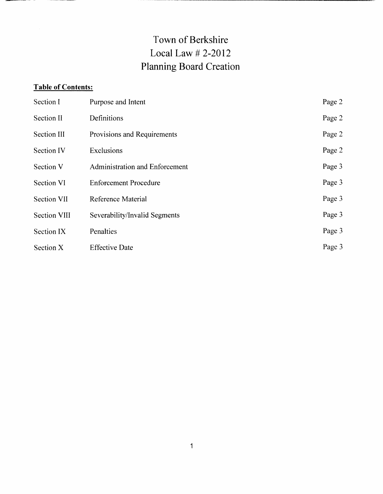## **Town of Berkshire Local Law #2-2012 Planning Board Creation**

## **Table of Contents:**

| Section I           | Purpose and Intent                    | Page 2 |
|---------------------|---------------------------------------|--------|
| <b>Section II</b>   | Definitions                           | Page 2 |
| <b>Section III</b>  | Provisions and Requirements           | Page 2 |
| <b>Section IV</b>   | Exclusions                            | Page 2 |
| <b>Section V</b>    | <b>Administration and Enforcement</b> | Page 3 |
| <b>Section VI</b>   | <b>Enforcement Procedure</b>          | Page 3 |
| <b>Section VII</b>  | <b>Reference Material</b>             | Page 3 |
| <b>Section VIII</b> | Severability/Invalid Segments         | Page 3 |
| Section IX          | Penalties                             | Page 3 |
| Section X           | <b>Effective Date</b>                 | Page 3 |

1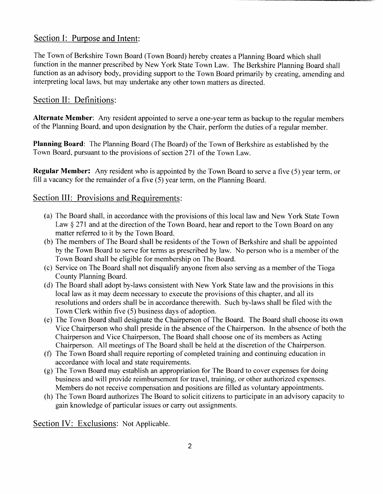## **Section I: Purpose and Intent:**

The Town of Berkshire Town Board (Town Board) hereby creates a Planning Board which shall function in the manner prescribed by New York State Town Law. The Berkshire Planning Board shall function as an advisory body, providing support to the Town Board primarily by creating, amending and interpreting local laws, but may undertake any other town matters as directed.

## **Section II: Definitions:**

Alternate Member: Any resident appointed to serve a one-year term as backup to the regular members of the Planning Board, and upon designation by the Chair, perform the duties of a regular member.

Planning Board: The Planning Board (The Board) of the Town of Berkshire as established by the Town Board, pursuant to the provisions of section 271 of the Town Law.

Regular Member: Any resident who is appointed by the Town Board to serve a five (5) year term, or fill a vacancy for the remainder of a five (5) year term, on the Planning Board.

## **Section III: Provisions and Requirements:**

- (a) The Board shall, in accordance with the provisions of this local law and New York State Town Law § 271 and at the direction of the Town Board, hear and report to the Town Board on any matter referred to it by the Town Board.
- (b) The members of The Board shall be residents of the Town of Berkshire and shall be appointed by the Town Board to serve for terms as prescribed by law. No person who is a member of the Town Board shall be eligible for membership on The Board.
- (c) Service on The Board shall not disqualify anyone from also serving as a member of the Tioga County Planning Board.
- 
- (d) The Board shall adopt by-laws consistent with New York State law and the provisions in this local law as it may deem necessary to execute the provisions of this chapter, and all its resolutions and orders shall be in accordance therewith. Such by-laws shall be filed with the Town Clerk within five (5) business days of adoption.
- (e) The Town Board shall designate the Chairperson of The Board. The Board shall choose its own Vice Chairperson who shall preside in the absence of the Chairperson. In the absence of both the Chairperson and Vice Chairperson, The Board shall choose one of its members as Acting Chairperson. All meetings of The Board shall be held at the discretion of the Chairperson.
- (f) The Town Board shall require reporting of completed training and continuing education in accordance with local and state requirements.
- (g) The Town Board may establish an appropriation for The Board to cover expenses for doing business and will provide reimbursement for travel, training, or other authorized expenses. Members do not receive compensation and positions are filled as voluntary appointments.
- (h) The Town Board authorizes The Board to solicit citizens to participate in an advisory capacity to gain knowledge of particular issues or carry out assignments.

Section IV: Exclusions: Not Applicable.

 $\overline{2}$